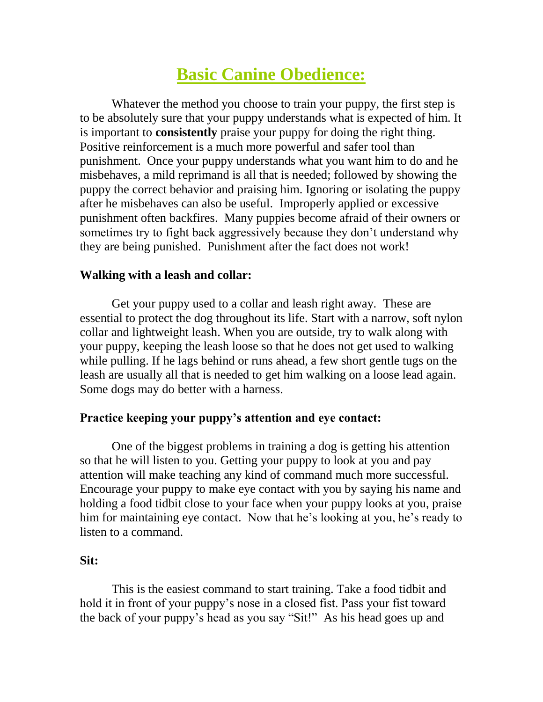# **Basic Canine Obedience:**

Whatever the method you choose to train your puppy, the first step is to be absolutely sure that your puppy understands what is expected of him. It is important to **consistently** praise your puppy for doing the right thing. Positive reinforcement is a much more powerful and safer tool than punishment. Once your puppy understands what you want him to do and he misbehaves, a mild reprimand is all that is needed; followed by showing the puppy the correct behavior and praising him. Ignoring or isolating the puppy after he misbehaves can also be useful. Improperly applied or excessive punishment often backfires. Many puppies become afraid of their owners or sometimes try to fight back aggressively because they don't understand why they are being punished. Punishment after the fact does not work!

## **Walking with a leash and collar:**

Get your puppy used to a collar and leash right away. These are essential to protect the dog throughout its life. Start with a narrow, soft nylon collar and lightweight leash. When you are outside, try to walk along with your puppy, keeping the leash loose so that he does not get used to walking while pulling. If he lags behind or runs ahead, a few short gentle tugs on the leash are usually all that is needed to get him walking on a loose lead again. Some dogs may do better with a harness.

#### **Practice keeping your puppy's attention and eye contact:**

One of the biggest problems in training a dog is getting his attention so that he will listen to you. Getting your puppy to look at you and pay attention will make teaching any kind of command much more successful. Encourage your puppy to make eye contact with you by saying his name and holding a food tidbit close to your face when your puppy looks at you, praise him for maintaining eye contact. Now that he's looking at you, he's ready to listen to a command.

## **Sit:**

This is the easiest command to start training. Take a food tidbit and hold it in front of your puppy's nose in a closed fist. Pass your fist toward the back of your puppy's head as you say "Sit!" As his head goes up and